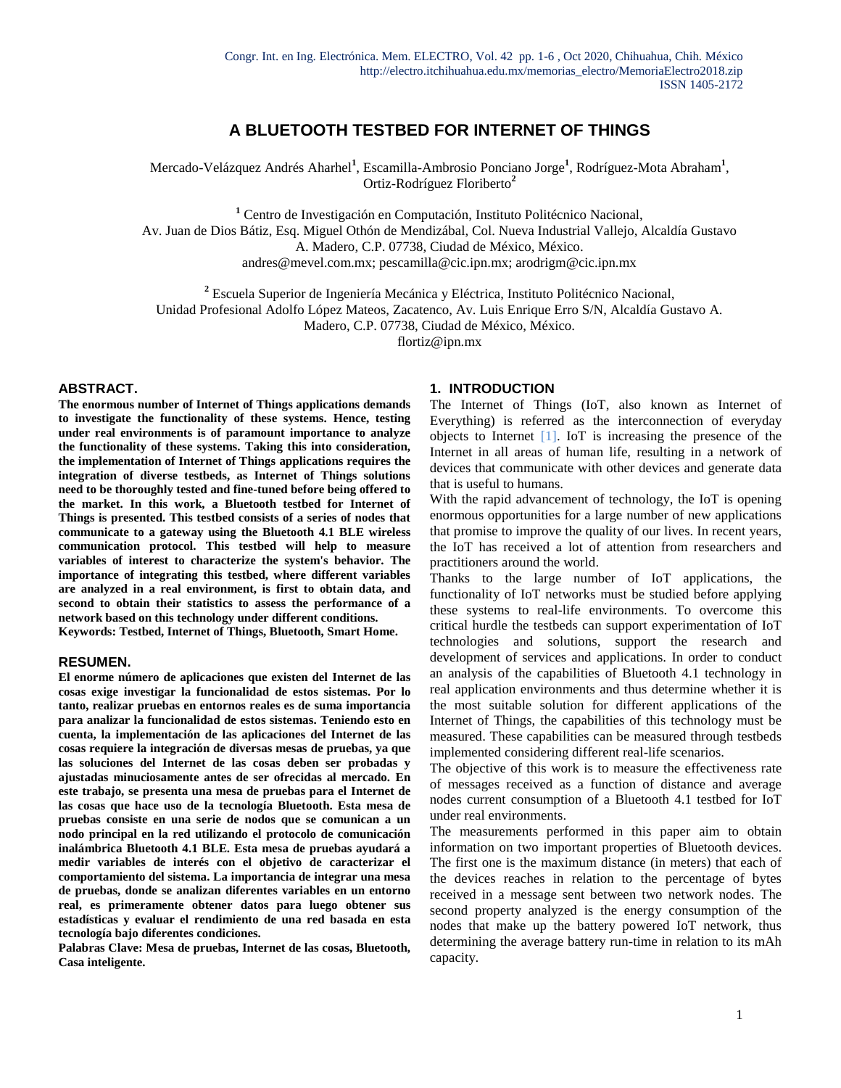# **A BLUETOOTH TESTBED FOR INTERNET OF THINGS**

Mercado-Velázquez Andrés Aharhel<sup>1</sup>, Escamilla-Ambrosio Ponciano Jorge<sup>1</sup>, Rodríguez-Mota Abraham<sup>1</sup>, Ortiz-Rodríguez Floriberto**<sup>2</sup>**

**<sup>1</sup>** Centro de Investigación en Computación, Instituto Politécnico Nacional, Av. Juan de Dios Bátiz, Esq. Miguel Othón de Mendizábal, Col. Nueva Industrial Vallejo, Alcaldía Gustavo A. Madero, C.P. 07738, Ciudad de México, México. andres@mevel.com.mx; pescamilla@cic.ipn.mx; arodrigm@cic.ipn.mx

**<sup>2</sup>** Escuela Superior de Ingeniería Mecánica y Eléctrica, Instituto Politécnico Nacional,

Unidad Profesional Adolfo López Mateos, Zacatenco, Av. Luis Enrique Erro S/N, Alcaldía Gustavo A.

Madero, C.P. 07738, Ciudad de México, México.

flortiz@ipn.mx

#### **ABSTRACT.**

**The enormous number of Internet of Things applications demands to investigate the functionality of these systems. Hence, testing under real environments is of paramount importance to analyze the functionality of these systems. Taking this into consideration, the implementation of Internet of Things applications requires the integration of diverse testbeds, as Internet of Things solutions need to be thoroughly tested and fine-tuned before being offered to the market. In this work, a Bluetooth testbed for Internet of Things is presented. This testbed consists of a series of nodes that communicate to a gateway using the Bluetooth 4.1 BLE wireless communication protocol. This testbed will help to measure variables of interest to characterize the system's behavior. The importance of integrating this testbed, where different variables are analyzed in a real environment, is first to obtain data, and second to obtain their statistics to assess the performance of a network based on this technology under different conditions. Keywords: Testbed, Internet of Things, Bluetooth, Smart Home.**

#### **RESUMEN.**

**El enorme número de aplicaciones que existen del Internet de las cosas exige investigar la funcionalidad de estos sistemas. Por lo tanto, realizar pruebas en entornos reales es de suma importancia para analizar la funcionalidad de estos sistemas. Teniendo esto en cuenta, la implementación de las aplicaciones del Internet de las cosas requiere la integración de diversas mesas de pruebas, ya que las soluciones del Internet de las cosas deben ser probadas y ajustadas minuciosamente antes de ser ofrecidas al mercado. En este trabajo, se presenta una mesa de pruebas para el Internet de las cosas que hace uso de la tecnología Bluetooth. Esta mesa de pruebas consiste en una serie de nodos que se comunican a un nodo principal en la red utilizando el protocolo de comunicación inalámbrica Bluetooth 4.1 BLE. Esta mesa de pruebas ayudará a medir variables de interés con el objetivo de caracterizar el comportamiento del sistema. La importancia de integrar una mesa de pruebas, donde se analizan diferentes variables en un entorno real, es primeramente obtener datos para luego obtener sus estadísticas y evaluar el rendimiento de una red basada en esta tecnología bajo diferentes condiciones.**

**Palabras Clave: Mesa de pruebas, Internet de las cosas, Bluetooth, Casa inteligente.**

#### **1. INTRODUCTION**

The Internet of Things (IoT, also known as Internet of Everything) is referred as the interconnection of everyday objects to Internet [1]. IoT is increasing the presence of the Internet in all areas of human life, resulting in a network of devices that communicate with other devices and generate data that is useful to humans.

With the rapid advancement of technology, the IoT is opening enormous opportunities for a large number of new applications that promise to improve the quality of our lives. In recent years, the IoT has received a lot of attention from researchers and practitioners around the world.

Thanks to the large number of IoT applications, the functionality of IoT networks must be studied before applying these systems to real-life environments. To overcome this critical hurdle the testbeds can support experimentation of IoT technologies and solutions, support the research and development of services and applications. In order to conduct an analysis of the capabilities of Bluetooth 4.1 technology in real application environments and thus determine whether it is the most suitable solution for different applications of the Internet of Things, the capabilities of this technology must be measured. These capabilities can be measured through testbeds implemented considering different real-life scenarios.

The objective of this work is to measure the effectiveness rate of messages received as a function of distance and average nodes current consumption of a Bluetooth 4.1 testbed for IoT under real environments.

The measurements performed in this paper aim to obtain information on two important properties of Bluetooth devices. The first one is the maximum distance (in meters) that each of the devices reaches in relation to the percentage of bytes received in a message sent between two network nodes. The second property analyzed is the energy consumption of the nodes that make up the battery powered IoT network, thus determining the average battery run-time in relation to its mAh capacity.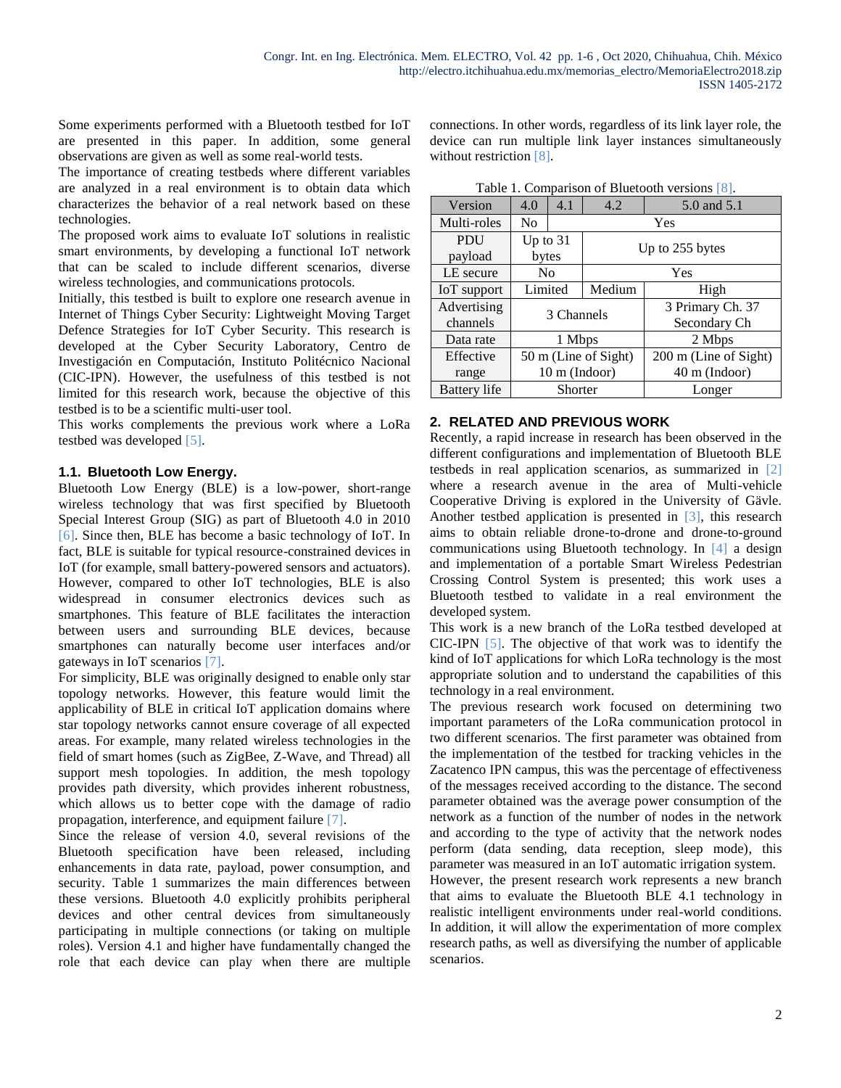Some experiments performed with a Bluetooth testbed for IoT are presented in this paper. In addition, some general observations are given as well as some real-world tests.

The importance of creating testbeds where different variables are analyzed in a real environment is to obtain data which characterizes the behavior of a real network based on these technologies.

The proposed work aims to evaluate IoT solutions in realistic smart environments, by developing a functional IoT network that can be scaled to include different scenarios, diverse wireless technologies, and communications protocols.

Initially, this testbed is built to explore one research avenue in Internet of Things Cyber Security: Lightweight Moving Target Defence Strategies for IoT Cyber Security. This research is developed at the Cyber Security Laboratory, Centro de Investigación en Computación, Instituto Politécnico Nacional (CIC-IPN). However, the usefulness of this testbed is not limited for this research work, because the objective of this testbed is to be a scientific multi-user tool.

This works complements the previous work where a LoRa testbed was developed [5].

## **1.1. Bluetooth Low Energy.**

Bluetooth Low Energy (BLE) is a low-power, short-range wireless technology that was first specified by Bluetooth Special Interest Group (SIG) as part of Bluetooth 4.0 in 2010 [6]. Since then, BLE has become a basic technology of IoT. In fact, BLE is suitable for typical resource-constrained devices in IoT (for example, small battery-powered sensors and actuators). However, compared to other IoT technologies, BLE is also widespread in consumer electronics devices such as smartphones. This feature of BLE facilitates the interaction between users and surrounding BLE devices, because smartphones can naturally become user interfaces and/or gateways in IoT scenarios [7].

For simplicity, BLE was originally designed to enable only star topology networks. However, this feature would limit the applicability of BLE in critical IoT application domains where star topology networks cannot ensure coverage of all expected areas. For example, many related wireless technologies in the field of smart homes (such as ZigBee, Z-Wave, and Thread) all support mesh topologies. In addition, the mesh topology provides path diversity, which provides inherent robustness, which allows us to better cope with the damage of radio propagation, interference, and equipment failure [7].

Since the release of version 4.0, several revisions of the Bluetooth specification have been released, including enhancements in data rate, payload, power consumption, and security. Table 1 summarizes the main differences between these versions. Bluetooth 4.0 explicitly prohibits peripheral devices and other central devices from simultaneously participating in multiple connections (or taking on multiple roles). Version 4.1 and higher have fundamentally changed the role that each device can play when there are multiple connections. In other words, regardless of its link layer role, the device can run multiple link layer instances simultaneously without restriction [8].

| rapic 1. Comparison or Diactoom versions $\vert \theta \vert$ . |                      |               |                 |                         |  |  |  |
|-----------------------------------------------------------------|----------------------|---------------|-----------------|-------------------------|--|--|--|
| Version                                                         | 4.0                  | 4.1           | 4.2             | 5.0 and 5.1             |  |  |  |
| Multi-roles                                                     | No.                  | Yes           |                 |                         |  |  |  |
| PDU                                                             | Up to $31$           |               | Up to 255 bytes |                         |  |  |  |
| payload                                                         | bytes                |               |                 |                         |  |  |  |
| LE secure                                                       | N <sub>0</sub>       |               | Yes             |                         |  |  |  |
| IoT support                                                     | Limited              |               | Medium          | High                    |  |  |  |
| Advertising                                                     | 3 Channels           |               |                 | 3 Primary Ch. 37        |  |  |  |
| channels                                                        |                      |               |                 | Secondary Ch            |  |  |  |
| Data rate                                                       | 1 Mbps               |               |                 | 2 Mbps                  |  |  |  |
| Effective                                                       | 50 m (Line of Sight) |               |                 | 200 m (Line of Sight)   |  |  |  |
| range                                                           |                      | 10 m (Indoor) |                 | $40 \text{ m}$ (Indoor) |  |  |  |
| Battery life                                                    | Shorter              |               |                 | Longer                  |  |  |  |

Table 1. Comparison of Bluetooth versions [8].

## **2. RELATED AND PREVIOUS WORK**

Recently, a rapid increase in research has been observed in the different configurations and implementation of Bluetooth BLE testbeds in real application scenarios, as summarized in [2] where a research avenue in the area of Multi-vehicle Cooperative Driving is explored in the University of Gävle. Another testbed application is presented in [3], this research aims to obtain reliable drone-to-drone and drone-to-ground communications using Bluetooth technology. In [4] a design and implementation of a portable Smart Wireless Pedestrian Crossing Control System is presented; this work uses a Bluetooth testbed to validate in a real environment the developed system.

This work is a new branch of the LoRa testbed developed at CIC-IPN [5]. The objective of that work was to identify the kind of IoT applications for which LoRa technology is the most appropriate solution and to understand the capabilities of this technology in a real environment.

The previous research work focused on determining two important parameters of the LoRa communication protocol in two different scenarios. The first parameter was obtained from the implementation of the testbed for tracking vehicles in the Zacatenco IPN campus, this was the percentage of effectiveness of the messages received according to the distance. The second parameter obtained was the average power consumption of the network as a function of the number of nodes in the network and according to the type of activity that the network nodes perform (data sending, data reception, sleep mode), this parameter was measured in an IoT automatic irrigation system.

However, the present research work represents a new branch that aims to evaluate the Bluetooth BLE 4.1 technology in realistic intelligent environments under real-world conditions. In addition, it will allow the experimentation of more complex research paths, as well as diversifying the number of applicable scenarios.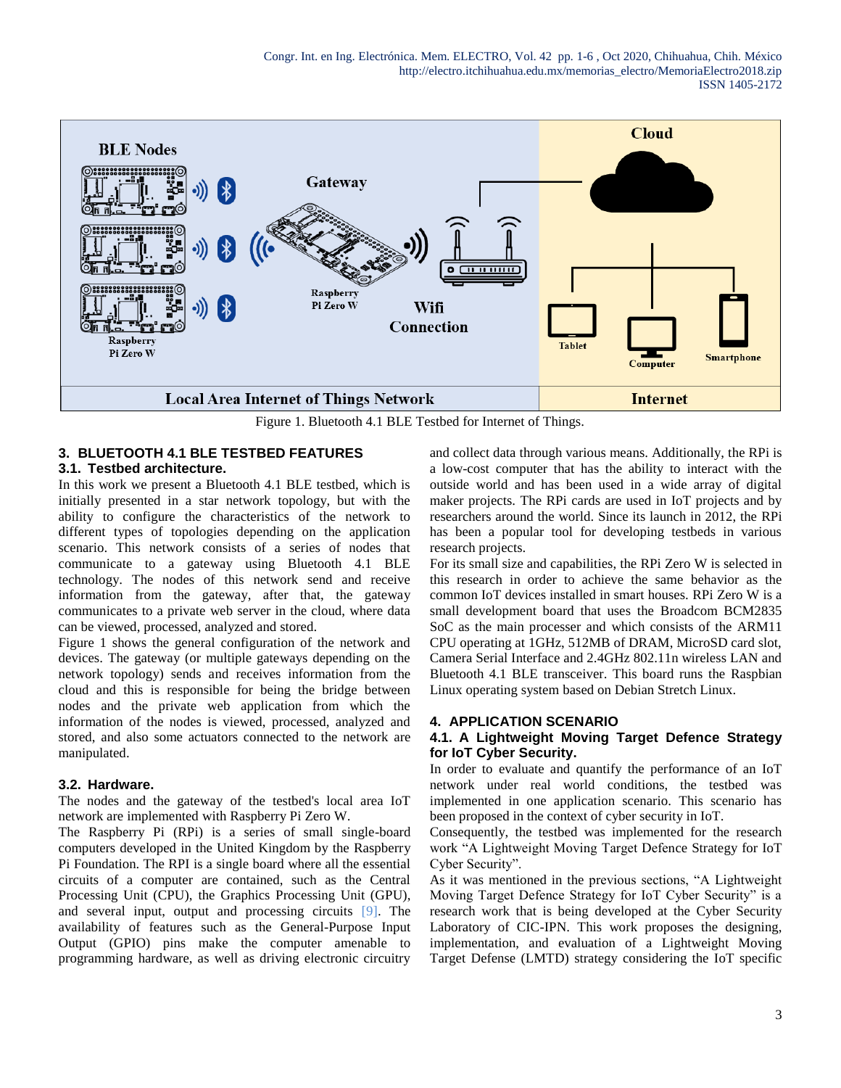

Figure 1. Bluetooth 4.1 BLE Testbed for Internet of Things.

## **3. BLUETOOTH 4.1 BLE TESTBED FEATURES**

### **3.1. Testbed architecture.**

In this work we present a Bluetooth 4.1 BLE testbed, which is initially presented in a star network topology, but with the ability to configure the characteristics of the network to different types of topologies depending on the application scenario. This network consists of a series of nodes that communicate to a gateway using Bluetooth 4.1 BLE technology. The nodes of this network send and receive information from the gateway, after that, the gateway communicates to a private web server in the cloud, where data can be viewed, processed, analyzed and stored.

Figure 1 shows the general configuration of the network and devices. The gateway (or multiple gateways depending on the network topology) sends and receives information from the cloud and this is responsible for being the bridge between nodes and the private web application from which the information of the nodes is viewed, processed, analyzed and stored, and also some actuators connected to the network are manipulated.

#### **3.2. Hardware.**

The nodes and the gateway of the testbed's local area IoT network are implemented with Raspberry Pi Zero W.

The Raspberry Pi (RPi) is a series of small single-board computers developed in the United Kingdom by the Raspberry Pi Foundation. The RPI is a single board where all the essential circuits of a computer are contained, such as the Central Processing Unit (CPU), the Graphics Processing Unit (GPU), and several input, output and processing circuits [9]. The availability of features such as the General-Purpose Input Output (GPIO) pins make the computer amenable to programming hardware, as well as driving electronic circuitry and collect data through various means. Additionally, the RPi is a low-cost computer that has the ability to interact with the outside world and has been used in a wide array of digital maker projects. The RPi cards are used in IoT projects and by researchers around the world. Since its launch in 2012, the RPi has been a popular tool for developing testbeds in various research projects.

For its small size and capabilities, the RPi Zero W is selected in this research in order to achieve the same behavior as the common IoT devices installed in smart houses. RPi Zero W is a small development board that uses the Broadcom BCM2835 SoC as the main processer and which consists of the ARM11 CPU operating at 1GHz, 512MB of DRAM, MicroSD card slot, Camera Serial Interface and 2.4GHz 802.11n wireless LAN and Bluetooth 4.1 BLE transceiver. This board runs the Raspbian Linux operating system based on Debian Stretch Linux.

### **4. APPLICATION SCENARIO**

### **4.1. A Lightweight Moving Target Defence Strategy for IoT Cyber Security.**

In order to evaluate and quantify the performance of an IoT network under real world conditions, the testbed was implemented in one application scenario. This scenario has been proposed in the context of cyber security in IoT.

Consequently, the testbed was implemented for the research work "A Lightweight Moving Target Defence Strategy for IoT Cyber Security".

As it was mentioned in the previous sections, "A Lightweight Moving Target Defence Strategy for IoT Cyber Security" is a research work that is being developed at the Cyber Security Laboratory of CIC-IPN. This work proposes the designing, implementation, and evaluation of a Lightweight Moving Target Defense (LMTD) strategy considering the IoT specific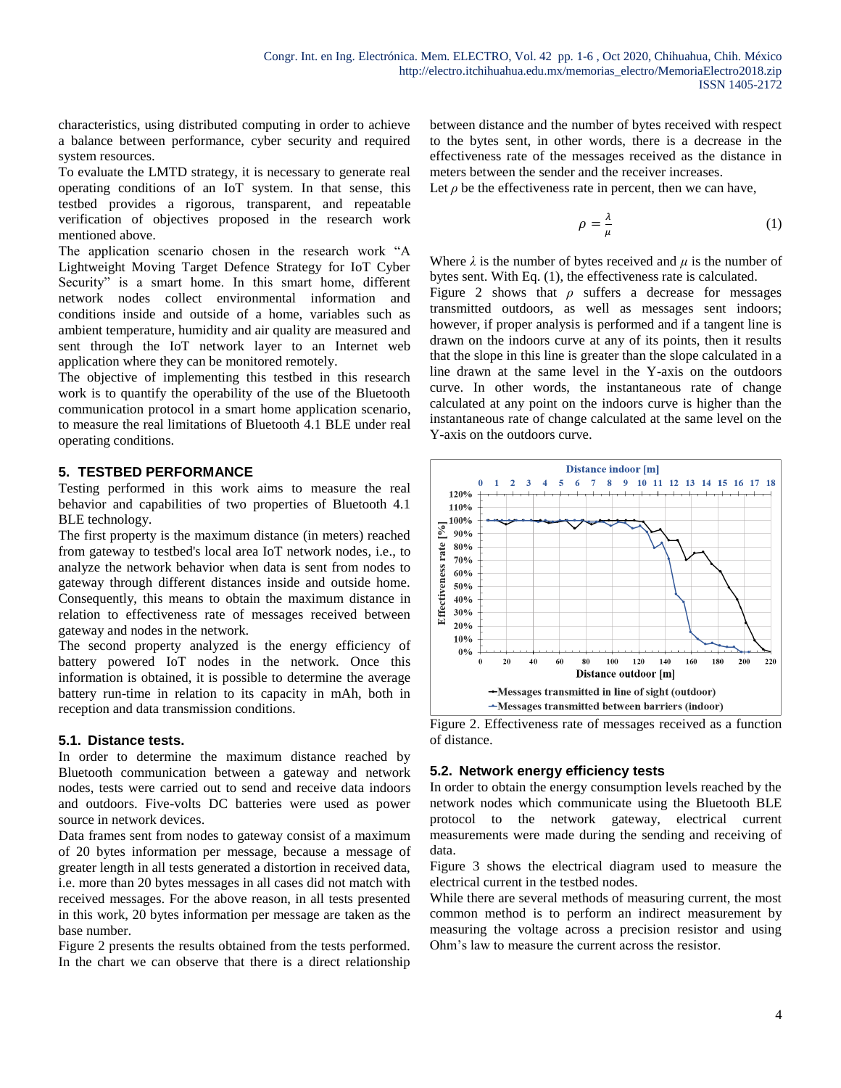characteristics, using distributed computing in order to achieve a balance between performance, cyber security and required system resources.

To evaluate the LMTD strategy, it is necessary to generate real operating conditions of an IoT system. In that sense, this testbed provides a rigorous, transparent, and repeatable verification of objectives proposed in the research work mentioned above.

The application scenario chosen in the research work "A Lightweight Moving Target Defence Strategy for IoT Cyber Security" is a smart home. In this smart home, different network nodes collect environmental information and conditions inside and outside of a home, variables such as ambient temperature, humidity and air quality are measured and sent through the IoT network layer to an Internet web application where they can be monitored remotely.

The objective of implementing this testbed in this research work is to quantify the operability of the use of the Bluetooth communication protocol in a smart home application scenario, to measure the real limitations of Bluetooth 4.1 BLE under real operating conditions.

### **5. TESTBED PERFORMANCE**

Testing performed in this work aims to measure the real behavior and capabilities of two properties of Bluetooth 4.1 BLE technology.

The first property is the maximum distance (in meters) reached from gateway to testbed's local area IoT network nodes, i.e., to analyze the network behavior when data is sent from nodes to gateway through different distances inside and outside home. Consequently, this means to obtain the maximum distance in relation to effectiveness rate of messages received between gateway and nodes in the network.

The second property analyzed is the energy efficiency of battery powered IoT nodes in the network. Once this information is obtained, it is possible to determine the average battery run-time in relation to its capacity in mAh, both in reception and data transmission conditions.

#### **5.1. Distance tests.**

In order to determine the maximum distance reached by Bluetooth communication between a gateway and network nodes, tests were carried out to send and receive data indoors and outdoors. Five-volts DC batteries were used as power source in network devices.

Data frames sent from nodes to gateway consist of a maximum of 20 bytes information per message, because a message of greater length in all tests generated a distortion in received data, i.e. more than 20 bytes messages in all cases did not match with received messages. For the above reason, in all tests presented in this work, 20 bytes information per message are taken as the base number.

Figure 2 presents the results obtained from the tests performed. In the chart we can observe that there is a direct relationship between distance and the number of bytes received with respect to the bytes sent, in other words, there is a decrease in the effectiveness rate of the messages received as the distance in meters between the sender and the receiver increases.

Let  $\rho$  be the effectiveness rate in percent, then we can have,

$$
\rho = \frac{\lambda}{\mu} \tag{1}
$$

Where  $\lambda$  is the number of bytes received and  $\mu$  is the number of bytes sent. With Eq. (1), the effectiveness rate is calculated.

Figure 2 shows that  $\rho$  suffers a decrease for messages transmitted outdoors, as well as messages sent indoors; however, if proper analysis is performed and if a tangent line is drawn on the indoors curve at any of its points, then it results that the slope in this line is greater than the slope calculated in a line drawn at the same level in the Y-axis on the outdoors curve. In other words, the instantaneous rate of change calculated at any point on the indoors curve is higher than the instantaneous rate of change calculated at the same level on the Y-axis on the outdoors curve.



Figure 2. Effectiveness rate of messages received as a function of distance.

#### **5.2. Network energy efficiency tests**

In order to obtain the energy consumption levels reached by the network nodes which communicate using the Bluetooth BLE protocol to the network gateway, electrical current measurements were made during the sending and receiving of data.

Figure 3 shows the electrical diagram used to measure the electrical current in the testbed nodes.

While there are several methods of measuring current, the most common method is to perform an indirect measurement by measuring the voltage across a precision resistor and using Ohm's law to measure the current across the resistor.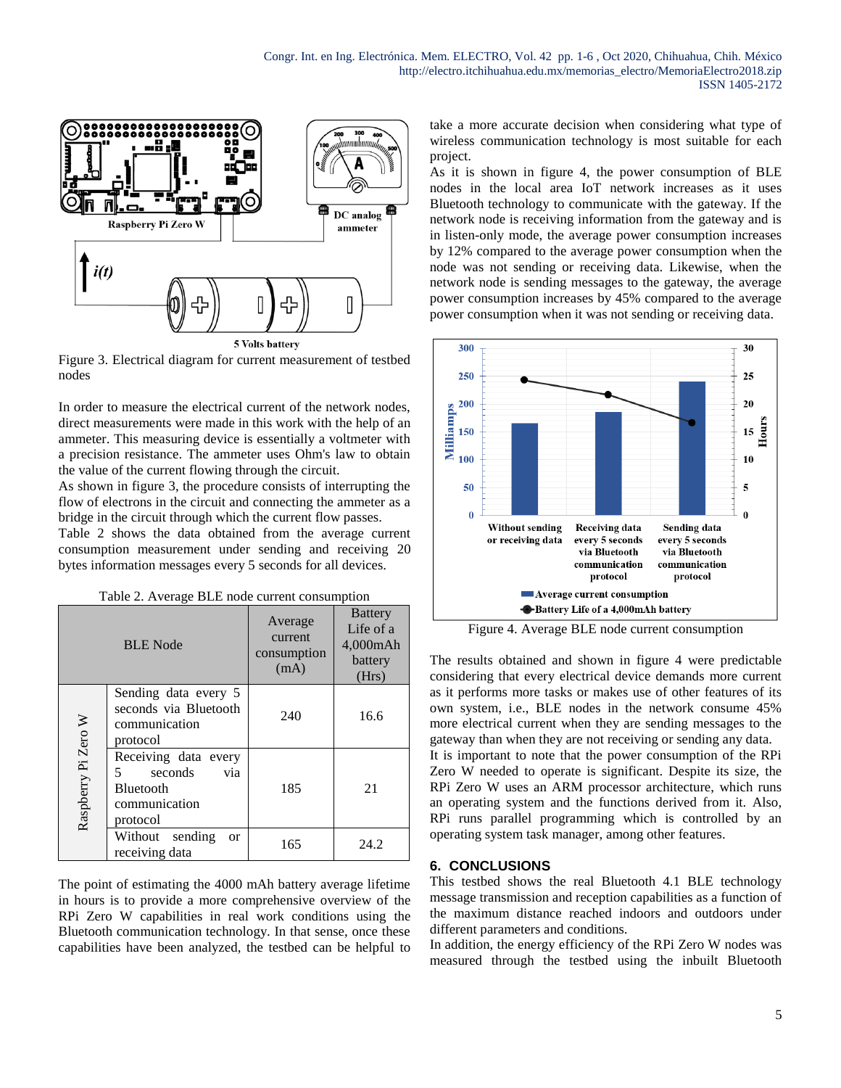

Figure 3. Electrical diagram for current measurement of testbed nodes

In order to measure the electrical current of the network nodes, direct measurements were made in this work with the help of an ammeter. This measuring device is essentially a voltmeter with a precision resistance. The ammeter uses Ohm's law to obtain the value of the current flowing through the circuit.

As shown in figure 3, the procedure consists of interrupting the flow of electrons in the circuit and connecting the ammeter as a bridge in the circuit through which the current flow passes.

Table 2 shows the data obtained from the average current consumption measurement under sending and receiving 20 bytes information messages every 5 seconds for all devices.

Table 2. Average BLE node current consumption

| <b>BLE</b> Node     |                                                                                       | Average<br>current<br>consumption<br>(mA) | <b>Battery</b><br>Life of a<br>4,000mAh<br>battery<br>(Hrs) |
|---------------------|---------------------------------------------------------------------------------------|-------------------------------------------|-------------------------------------------------------------|
|                     | Sending data every 5<br>seconds via Bluetooth<br>communication<br>protocol            | 240                                       | 16.6                                                        |
| Raspberry Pi Zero W | Receiving data every<br>5<br>seconds<br>via<br>Bluetooth<br>communication<br>protocol | 185                                       | 21                                                          |
|                     | Without sending<br><b>or</b><br>receiving data                                        | 165                                       | 24.2                                                        |

The point of estimating the 4000 mAh battery average lifetime in hours is to provide a more comprehensive overview of the RPi Zero W capabilities in real work conditions using the Bluetooth communication technology. In that sense, once these capabilities have been analyzed, the testbed can be helpful to take a more accurate decision when considering what type of wireless communication technology is most suitable for each project.

As it is shown in figure 4, the power consumption of BLE nodes in the local area IoT network increases as it uses Bluetooth technology to communicate with the gateway. If the network node is receiving information from the gateway and is in listen-only mode, the average power consumption increases by 12% compared to the average power consumption when the node was not sending or receiving data. Likewise, when the network node is sending messages to the gateway, the average power consumption increases by 45% compared to the average power consumption when it was not sending or receiving data.



Figure 4. Average BLE node current consumption

The results obtained and shown in figure 4 were predictable considering that every electrical device demands more current as it performs more tasks or makes use of other features of its own system, i.e., BLE nodes in the network consume 45% more electrical current when they are sending messages to the gateway than when they are not receiving or sending any data. It is important to note that the power consumption of the RPi Zero W needed to operate is significant. Despite its size, the RPi Zero W uses an ARM processor architecture, which runs an operating system and the functions derived from it. Also, RPi runs parallel programming which is controlled by an operating system task manager, among other features.

### **6. CONCLUSIONS**

This testbed shows the real Bluetooth 4.1 BLE technology message transmission and reception capabilities as a function of the maximum distance reached indoors and outdoors under different parameters and conditions.

In addition, the energy efficiency of the RPi Zero W nodes was measured through the testbed using the inbuilt Bluetooth